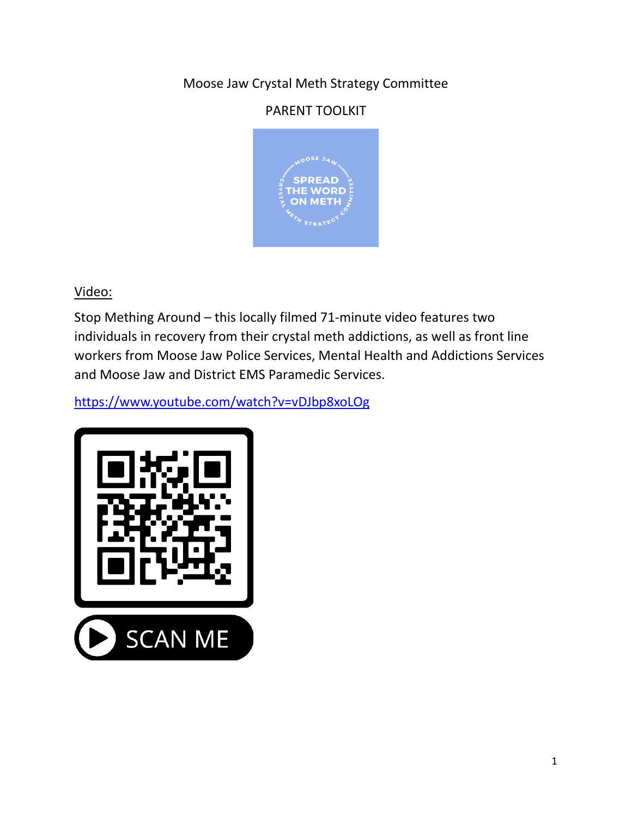# Moose Jaw Crystal Meth Strategy Committee

# PARENT TOOLKIT



Video:

Stop Mething Around – this locally filmed 71-minute video features two individuals in recovery from their crystal meth addictions, as well as front line workers from Moose Jaw Police Services, Mental Health and Addictions Services and Moose Jaw and District EMS Paramedic Services.

<https://www.youtube.com/watch?v=vDJbp8xoLOg>

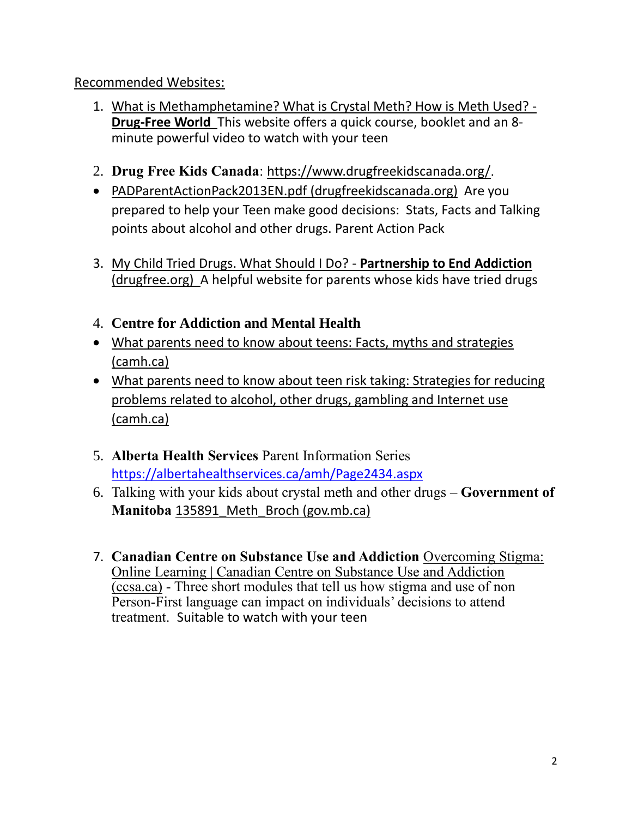#### Recommended Websites:

- 1. [What is Methamphetamine? What is Crystal Meth? How is Meth Used? -](https://www.drugfreeworld.org/drugfacts/crystalmeth.html) **[Drug-Free World](https://www.drugfreeworld.org/drugfacts/crystalmeth.html)** This website offers a quick course, booklet and an 8 minute powerful video to watch with your teen
- 2. **Drug Free Kids Canada**: <https://www.drugfreekidscanada.org/>.
- [PADParentActionPack2013EN.pdf](https://www.drugfreekidscanada.org/wp-content/uploads/2012/11/PADParentActionPack2013EN.pdf) (drugfreekidscanada.org) Are you prepared to help your Teen make good decisions: Stats, Facts and Talking points about alcohol and other drugs. Parent Action Pack
- 3. [My Child Tried Drugs. What Should I Do? -](https://drugfree.org/my-child-tried-drugs-what-should-i-do/) **Partnership to End Addiction** [\(drugfree.org\)](https://drugfree.org/my-child-tried-drugs-what-should-i-do/) A helpful website for parents whose kids have tried drugs
- 4. **Centre for Addiction and Mental Health**
- [What parents need to know about teens: Facts, myths and strategies](http://www.camh.ca/-/media/files/guides-and-publications/what-parents-need-to-know.pdf)  [\(camh.ca\)](http://www.camh.ca/-/media/files/guides-and-publications/what-parents-need-to-know.pdf)
- [What parents need to know about teen risk taking: Strategies for reducing](http://www.camh.ca/-/media/files/guides-and-publications/what-parents-teen-risk-taking-en.pdf)  [problems related to alcohol, other drugs, gambling and Internet use](http://www.camh.ca/-/media/files/guides-and-publications/what-parents-teen-risk-taking-en.pdf)  [\(camh.ca\)](http://www.camh.ca/-/media/files/guides-and-publications/what-parents-teen-risk-taking-en.pdf)
- 5. **Alberta Health Services** Parent Information Series <https://albertahealthservices.ca/amh/Page2434.aspx>
- 6. Talking with your kids about crystal meth and other drugs **Government of Manitoba** [135891\\_Meth\\_Broch \(gov.mb.ca\)](https://www.gov.mb.ca/asset_library/en/talk_kids/crystal_meth_en.pdf)
- 7. **Canadian Centre on Substance Use and Addiction** [Overcoming Stigma:](https://www.ccsa.ca/overcoming-stigma-online-learning?_cldee=dGVycnkuZ3VkbXVuZHNvbkBoZWFsdGguZ292LnNrLmNh&recipientid=contact-390eede4f1d1e6118105480fcfeaa931-9053682e801b4943a357b1aff236f4a5&esid=4d2acfb1-79b9-eb11-8236-000d3a09cf2f)  [Online Learning | Canadian Centre on Substance Use and Addiction](https://www.ccsa.ca/overcoming-stigma-online-learning?_cldee=dGVycnkuZ3VkbXVuZHNvbkBoZWFsdGguZ292LnNrLmNh&recipientid=contact-390eede4f1d1e6118105480fcfeaa931-9053682e801b4943a357b1aff236f4a5&esid=4d2acfb1-79b9-eb11-8236-000d3a09cf2f)  [\(ccsa.ca\)](https://www.ccsa.ca/overcoming-stigma-online-learning?_cldee=dGVycnkuZ3VkbXVuZHNvbkBoZWFsdGguZ292LnNrLmNh&recipientid=contact-390eede4f1d1e6118105480fcfeaa931-9053682e801b4943a357b1aff236f4a5&esid=4d2acfb1-79b9-eb11-8236-000d3a09cf2f) - Three short modules that tell us how stigma and use of non Person-First language can impact on individuals' decisions to attend treatment. Suitable to watch with your teen